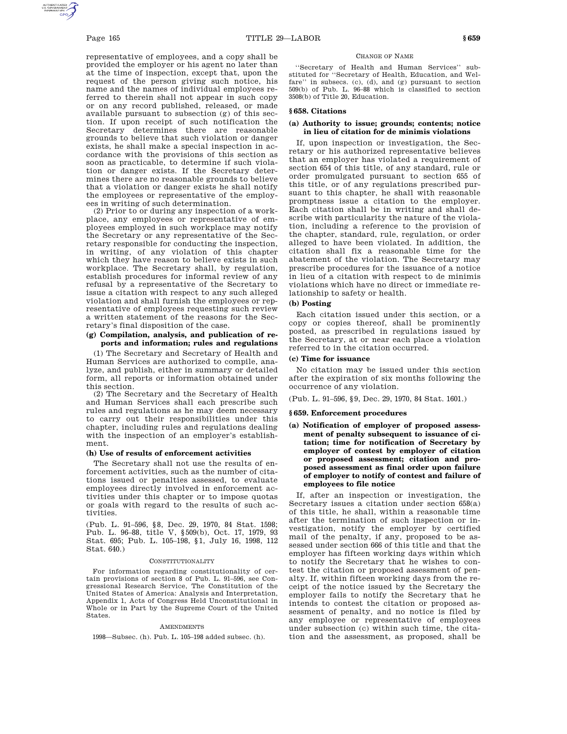representative of employees, and a copy shall be provided the employer or his agent no later than at the time of inspection, except that, upon the request of the person giving such notice, his name and the names of individual employees referred to therein shall not appear in such copy or on any record published, released, or made available pursuant to subsection (g) of this section. If upon receipt of such notification the Secretary determines there are reasonable grounds to believe that such violation or danger exists, he shall make a special inspection in accordance with the provisions of this section as soon as practicable, to determine if such violation or danger exists. If the Secretary determines there are no reasonable grounds to believe that a violation or danger exists he shall notify the employees or representative of the employ-

ees in writing of such determination. (2) Prior to or during any inspection of a workplace, any employees or representative of employees employed in such workplace may notify the Secretary or any representative of the Secretary responsible for conducting the inspection, in writing, of any violation of this chapter which they have reason to believe exists in such workplace. The Secretary shall, by regulation, establish procedures for informal review of any refusal by a representative of the Secretary to issue a citation with respect to any such alleged violation and shall furnish the employees or representative of employees requesting such review a written statement of the reasons for the Secretary's final disposition of the case.

# **(g) Compilation, analysis, and publication of reports and information; rules and regulations**

(1) The Secretary and Secretary of Health and Human Services are authorized to compile, analyze, and publish, either in summary or detailed form, all reports or information obtained under this section.

(2) The Secretary and the Secretary of Health and Human Services shall each prescribe such rules and regulations as he may deem necessary to carry out their responsibilities under this chapter, including rules and regulations dealing with the inspection of an employer's establishment.

#### **(h) Use of results of enforcement activities**

The Secretary shall not use the results of enforcement activities, such as the number of citations issued or penalties assessed, to evaluate employees directly involved in enforcement activities under this chapter or to impose quotas or goals with regard to the results of such activities.

(Pub. L. 91–596, §8, Dec. 29, 1970, 84 Stat. 1598; Pub. L. 96–88, title V, §509(b), Oct. 17, 1979, 93 Stat. 695; Pub. L. 105–198, §1, July 16, 1998, 112 Stat. 640.)

### **CONSTITUTIONALITY**

For information regarding constitutionality of certain provisions of section 8 of Pub. L. 91–596, see Con-gressional Research Service, The Constitution of the United States of America: Analysis and Interpretation, Appendix 1, Acts of Congress Held Unconstitutional in Whole or in Part by the Supreme Court of the United States.

#### AMENDMENTS

1998—Subsec. (h). Pub. L. 105–198 added subsec. (h).

#### CHANGE OF NAME

''Secretary of Health and Human Services'' substituted for ''Secretary of Health, Education, and Welfare'' in subsecs. (c), (d), and (g) pursuant to section 509(b) of Pub. L. 96–88 which is classified to section 3508(b) of Title 20, Education.

# **§ 658. Citations**

# **(a) Authority to issue; grounds; contents; notice in lieu of citation for de minimis violations**

If, upon inspection or investigation, the Secretary or his authorized representative believes that an employer has violated a requirement of section 654 of this title, of any standard, rule or order promulgated pursuant to section 655 of this title, or of any regulations prescribed pursuant to this chapter, he shall with reasonable promptness issue a citation to the employer. Each citation shall be in writing and shall describe with particularity the nature of the violation, including a reference to the provision of the chapter, standard, rule, regulation, or order alleged to have been violated. In addition, the citation shall fix a reasonable time for the abatement of the violation. The Secretary may prescribe procedures for the issuance of a notice in lieu of a citation with respect to de minimis violations which have no direct or immediate relationship to safety or health.

# **(b) Posting**

Each citation issued under this section, or a copy or copies thereof, shall be prominently posted, as prescribed in regulations issued by the Secretary, at or near each place a violation referred to in the citation occurred.

## **(c) Time for issuance**

No citation may be issued under this section after the expiration of six months following the occurrence of any violation.

(Pub. L. 91–596, §9, Dec. 29, 1970, 84 Stat. 1601.)

## **§ 659. Enforcement procedures**

**(a) Notification of employer of proposed assessment of penalty subsequent to issuance of citation; time for notification of Secretary by employer of contest by employer of citation or proposed assessment; citation and proposed assessment as final order upon failure of employer to notify of contest and failure of employees to file notice**

If, after an inspection or investigation, the Secretary issues a citation under section 658(a) of this title, he shall, within a reasonable time after the termination of such inspection or investigation, notify the employer by certified mail of the penalty, if any, proposed to be assessed under section 666 of this title and that the employer has fifteen working days within which to notify the Secretary that he wishes to contest the citation or proposed assessment of penalty. If, within fifteen working days from the receipt of the notice issued by the Secretary the employer fails to notify the Secretary that he intends to contest the citation or proposed assessment of penalty, and no notice is filed by any employee or representative of employees under subsection (c) within such time, the citation and the assessment, as proposed, shall be